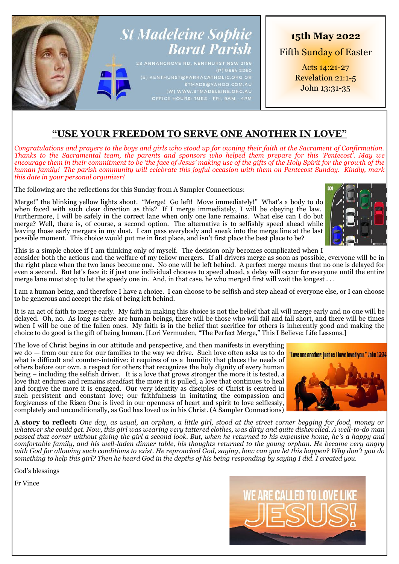# **St Madeleine Sophie Barat Parish**

# **15th May 2022**

Fifth Sunday of Easter

Acts 14:21-27 Revelation 21:1-5 John 13:31-35

# **"USE YOUR FREEDOM TO SERVE ONE ANOTHER IN LOVE"**

*Congratulations and prayers to the boys and girls who stood up for owning their faith at the Sacrament of Confirmation. Thanks to the Sacramental team, the parents and sponsors who helped them prepare for this 'Pentecost'. May we encourage them in their commitment to be 'the face of Jesus' making use of the gifts of the Holy Spirit for the growth of the human family! The parish community will celebrate this joyful occasion with them on Pentecost Sunday. Kindly, mark this date in your personal organizer!* 

The following are the reflections for this Sunday from A Sampler Connections:

Merge!" the blinking yellow lights shout. "Merge! Go left! Move immediately!" What's a body to do when faced with such clear direction as this? If I merge immediately, I will be obeying the law. Furthermore, I will be safely in the correct lane when only one lane remains. What else can I do but merge? Well, there is, of course, a second option. The alternative is to selfishly speed ahead while leaving those early mergers in my dust. I can pass everybody and sneak into the merge line at the last possible moment. This choice would put me in first place, and isn't first place the best place to be?



This is a simple choice if I am thinking only of myself. The decision only becomes complicated when I consider both the actions and the welfare of my fellow mergers. If all drivers merge as soon as possible, everyone will be in the right place when the two lanes become one. No one will be left behind. A perfect merge means that no one is delayed for even a second. But let's face it: if just one individual chooses to speed ahead, a delay will occur for everyone until the entire merge lane must stop to let the speedy one in. And, in that case, he who merged first will wait the longest . . .

I am a human being, and therefore I have a choice. I can choose to be selfish and step ahead of everyone else, or I can choose to be generous and accept the risk of being left behind.

It is an act of faith to merge early. My faith in making this choice is not the belief that all will merge early and no one will be delayed. Oh, no. As long as there are human beings, there will be those who will fail and fall short, and there will be times when I will be one of the fallen ones. My faith is in the belief that sacrifice for others is inherently good and making the choice to do good is the gift of being human. [Lori Vermuelen, "The Perfect Merge," This I Believe: Life Lessons.]

The love of Christ begins in our attitude and perspective, and then manifests in everything we do — from our care for our families to the way we drive. Such love often asks us to do what is difficult and counter-intuitive: it requires of us a humility that places the needs of others before our own, a respect for others that recognizes the holy dignity of every human being – including the selfish driver. It is a love that grows stronger the more it is tested, a love that endures and remains steadfast the more it is pulled, a love that continues to heal and forgive the more it is engaged. Our very identity as disciples of Christ is centred in such persistent and constant love; our faithfulness in imitating the compassion and forgiveness of the Risen One is lived in our openness of heart and spirit to love selflessly, completely and unconditionally, as God has loved us in his Christ. (A Sampler Connections)



**A story to reflect:** *One day, as usual, an orphan, a little girl, stood at the street corner begging for food, money or whatever she could get. Now, this girl was wearing very tattered clothes, was dirty and quite dishevelled. A well-to-do man passed that corner without giving the girl a second look. But, when he returned to his expensive home, he's a happy and comfortable family, and his well-laden dinner table, his thoughts returned to the young orphan. He became very angry with God for allowing such conditions to exist. He reproached God, saying, how can you let this happen? Why don't you do something to help this girl? Then he heard God in the depths of his being responding by saying I did. I created you.*

God's blessings

Fr Vince

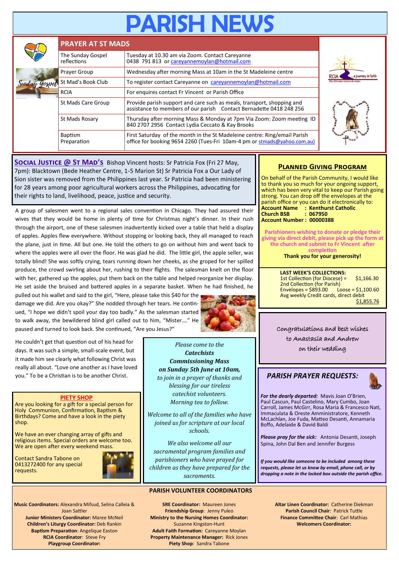# **PARISH NEV**

|  | <b>PRAYER AT ST MADS</b>         |                                                                                                                                                       |  |  |  |  |
|--|----------------------------------|-------------------------------------------------------------------------------------------------------------------------------------------------------|--|--|--|--|
|  | The Sunday Gospel<br>reflections | Tuesday at 10.30 am via Zoom. Contact Careyanne<br>0438 791 813 or careyannemoylan@hotmail.com                                                        |  |  |  |  |
|  | Prayer Group                     | Wednesday after morning Mass at 10am in the St Madeleine centre                                                                                       |  |  |  |  |
|  | St Mad's Book Club               | To register contact Careyanne on careyannemoylan@hotmail.com                                                                                          |  |  |  |  |
|  | <b>RCIA</b>                      | For enquires contact Fr Vincent or Parish Office                                                                                                      |  |  |  |  |
|  | St Mads Care Group               | Provide parish support and care such as meals, transport, shopping and<br>assistance to members of our parish Contact Bernadette 0418 248 256         |  |  |  |  |
|  | St Mads Rosary                   | Thursday after morning Mass & Monday at 7pm Via Zoom: Zoom meeting ID<br>840 2707 2956 Contact Lydia Ceccato & Kay Brooks                             |  |  |  |  |
|  | <b>Baptism</b><br>Preparation    | First Saturday of the month in the St Madeleine centre: Ring/email Parish<br>office for booking 9654 2260 (Tues-Fri 10am-4 pm or stmads@yahoo.com.au) |  |  |  |  |





**SOCIAL JUSTICE @ ST MAD'S** Bishop Vincent hosts: Sr Patricia Fox (Fri 27 May, 7pm): Blacktown (Bede Heather Centre, 1-5 Marion St) Sr Patricia Fox a Our Lady of Sion sister was removed from the Philippines last year. Sr Patricia had been ministering for 28 years among poor agricultural workers across the Philippines, advocating for their rights to land, livelihood, peace, justice and security.

A group of salesmen went to a regional sales convention in Chicago. They had assured their wives that they would be home in plenty of time for Christmas night's dinner. In their rush through the airport, one of these salesmen inadvertently kicked over a table that held a display of apples. Apples flew everywhere. Without stopping or looking back, they all managed to reach the plane, just in time. All but one. He told the others to go on without him and went back to where the apples were all over the floor. He was glad he did. The little girl, the apple seller, was totally blind! She was softly crying, tears running down her cheeks, as she groped for her spilled produce, the crowd swirling about her, rushing to their flights. The salesman knelt on the floor with her, gathered up the apples, put them back on the table and helped reorganize her display. He set aside the bruised and battered apples in a separate basket. When he had finished, he

pulled out his wallet and said to the girl, "Here, please take this \$40 for the damage we did. Are you okay?" She nodded through her tears. He continued, "I hope we didn't spoil your day too badly." As the salesman started to walk away, the bewildered blind girl called out to him, "Mister…." He paused and turned to look back. She continued, "Are you Jesus?"



He couldn't get that question out of his head for days. It was such a simple, small-scale event, but it made him see clearly what following Christ was really all about. "Love one another as I have loved you." To be a Christian is to be another Christ.

#### **PIETY SHOP**

Are you looking for a gift for a special person for Holy Communion, Confirmation, Baptism & Birthdays? Come and have a look in the piety shop.

We have an ever changing array of gifts and religious items. Special orders are welcome too. We are open after every weekend mass.

Contact Sandra Tabone on 0413272400 for any special requests.



**Music Coordinators:** Alexandra Mifsud, Selina Calleia & Joan Sattler **Junior Ministers Coordinator:** Maree McNeil **Children's Liturgy Coordinator:** Deb Rankin **Baptism Preparation**: Angelique Easton **RCIA Coordinator**: Steve Fry **Playgroup Coordinator:** 

**SRE Coordinator:** Maureen Jones **Friendship Group**: Jenny Puleo **Ministry to the Nursing Homes Coordinator:**  Suzanne Kingston-Hunt **Adult Faith Formation:** Careyanne Moylan **Property Maintenance Manager:** Rick Jones **Piety Shop**: Sandra Tabone

**PARISH VOLUNTEER COORDINATORS**

*Please come to the Catechists Commissioning Mass on Sunday 5th June at 10am, to join in a prayer of thanks and blessing for our tireless catechist volunteers. Morning tea to follow. Welcome to all of the families who have joined us for scripture at our local schools. We also welcome all our sacramental program families and parishioners who have prayed for children as they have prepared for the sacraments.*

### **Planned Giving Program**

On behalf of the Parish Community, I would like to thank you so much for your ongoing support, which has been very vital to keep our Parish going strong. You can drop off the envelopes at the parish office or you can do it electronically to: **Account Name : Kenthurst Catholic Church BSB : 067950 Account Number : 00000388**

**Parishioners wishing to donate or pledge their giving via direct debit, please pick up the form at the church and submit to Fr Vincent after completion**

**Thank you for your generosity!**

**LAST WEEK'S COLLECTIONS:** 1st Collection (for Diocese) = \$1,166.30  $2$ nd Collection (for Parish)<br>Envelopes = \$893.00 Loose = \$1,100.60  $Envelopes = $893.00$ Avg weekly Credit cards, direct debit \$1,855.76

## Congratulations and best wishes to Anastasia and Andrew

on their wedding

# *PARISH PRAYER REQUESTS:*

*For the dearly departed:* Mavis Joan O'Brien, Paul Cascun, Paul Castelino, Mary Cumbo, Joan Carroll, James McGirr, Rosa Maria & Francesco Nati, Immaculata & Oreste Amministratore, Kenneth McLachlan, Joe Fuda, Matteo Desanti, Annamaria Boffo, Adelaide & David Baldi

*Please pray for the sick:* Antonia Desanti, Joseph Spina, John Dal Ben and Jennifer Burgess

*If you would like someone to be included among these requests, please let us know by email, phone call, or by dropping a note in the locked box outside the parish office.*

> **Altar Linen Coordinator:** Catherine Diekman **Parish Council Chair**: Patrick Tuttle **Finance Committee Chair**: Carl Mathias **Welcomers Coordinator:**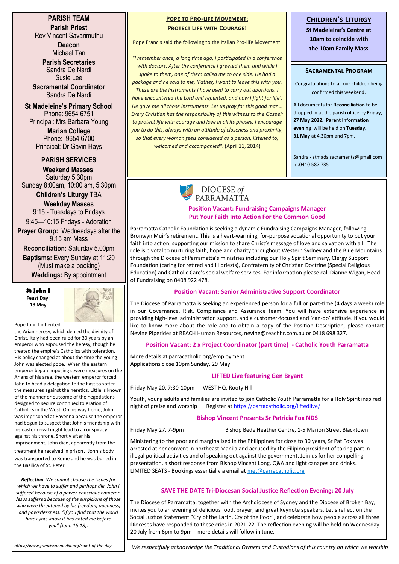#### **PARISH TEAM Parish Priest** Rev Vincent Savarimuthu

**Deacon** Michael Tan

**Parish Secretaries** Sandra De Nardi Susie Lee

**Sacramental Coordinator** Sandra De Nardi

**St Madeleine's Primary School** Phone: 9654 6751 Principal: Mrs Barbara Young

> **Marian College** Phone: 9654 6700 Principal: Dr Gavin Hays

#### **PARISH SERVICES**

**Weekend Masses**: Saturday 5.30pm Sunday 8:00am, 10:00 am, 5.30pm

**Children's Liturgy** TBA **Weekday Masses** 

9:15 - Tuesdays to Fridays 9:45—10:15 Fridays - Adoration

**Prayer Group:** Wednesdays after the 9.15 am Mass

**Reconciliation:** Saturday 5.00pm **Baptisms:** Every Sunday at 11:20 (Must make a booking)

**Weddings:** By appointment

**St John I Feast Day: 18 May**



Pope John I inherited

the Arian heresy, which denied the divinity of Christ. Italy had been ruled for 30 years by an emperor who espoused the heresy, though he treated the empire's Catholics with toleration. His policy changed at about the time the young John was elected pope. When the eastern emperor began imposing severe measures on the Arians of his area, the western emperor forced John to head a delegation to the East to soften the measures against the heretics. Little is known of the manner or outcome of the negotiationsdesigned to secure continued toleration of Catholics in the West. On his way home, John was imprisoned at Ravenna because the emperor had begun to suspect that John's friendship with his eastern rival might lead to a conspiracy against his throne. Shortly after his imprisonment, John died, apparently from the treatment he received in prison. John's body

was transported to Rome and he was buried in the Basilica of St. Peter.

*Reflection We cannot choose the issues for which we have to suffer and perhaps die. John I suffered because of a power-conscious emperor. Jesus suffered because of the suspicions of those who were threatened by his freedom, openness, and powerlessness. "If you find that the world hates you, know it has hated me before you" (John 15:18).*

#### **POPE TO PRO-LIFE MOVEMENT: Protect Life with Courage!**

Pope Francis said the following to the Italian Pro-life Movement:

*"I remember once, a long time ago, I participated in a conference with doctors. After the conference I greeted them and while I spoke to them, one of them called me to one side. He had a package and he said to me, 'Father, I want to leave this with you. These are the instruments I have used to carry out abortions. I have encountered the Lord and repented, and now I fight for life'. He gave me all those instruments. Let us pray for this good man… Every Christian has the responsibility of this witness to the Gospel: to protect life with courage and love in all its phases. I encourage you to do this, always with an attitude of closeness and proximity, so that every woman feels considered as a person, listened to, welcomed and accompanied"*. (April 11, 2014)

# **Children's Liturgy**

**St Madeleine's Centre at 10am to coincide with the 10am Family Mass**

#### **Sacramental Program**

Congratulations to all our children being confirmed this weekend.

All documents for **Reconciliation** to be dropped in at the parish office by **Friday, 27 May 2022. Parent Information evening** will be held on **Tuesday, 31 May** at 4.30pm and 7pm.

Sandra - stmads.sacraments@gmail.com m.0410 587 735



#### **Position Vacant: Fundraising Campaigns Manager Put Your Faith Into Action For the Common Good**

Parramatta Catholic Foundation is seeking a dynamic Fundraising Campaigns Manager, following Bronwyn Muir's retirement. This is a heart-warming, for-purpose vocational opportunity to put your faith into action, supporting our mission to share Christ's message of love and salvation with all. The role is pivotal to nurturing faith, hope and charity throughout Western Sydney and the Blue Mountains through the Diocese of Parramatta's ministries including our Holy Spirit Seminary, Clergy Support Foundation (caring for retired and ill priests), Confraternity of Christian Doctrine (Special Religious Education) and Catholic Care's social welfare services. For information please call Dianne Wigan, Head of Fundraising on 0408 922 478.

#### **Position Vacant: Senior Administrative Support Coordinator**

The Diocese of Parramatta is seeking an experienced person for a full or part-time (4 days a week) role in our Governance, Risk, Compliance and Assurance team. You will have extensive experience in providing high-level administration support, and a customer-focused and 'can-do' attitude. If you would like to know more about the role and to obtain a copy of the Position Description, please contact Nevine Piperides at REACH Human Resources, [nevine@reachhr.com.au o](mailto:nevine@reachhr.com.au)r 0418 698 327.

#### **Position Vacant: 2 x Project Coordinator (part time) - Catholic Youth Parramatta**

More details at parracatholic.org/employment Applications close 10pm Sunday, 29 May

#### **LIFTED Live featuring Gen Bryant**

Friday May 20, 7:30-10pm WEST HQ, Rooty Hill

Youth, young adults and families are invited to join Catholic Youth Parramatta for a Holy Spirit inspired night of praise and worship Register at <https://parracatholic.org/liftedlive/>

#### **Bishop Vincent Presents Sr Patricia Fox NDS**

Friday May 27, 7-9pm Bishop Bede Heather Centre, 1-5 Marion Street Blacktown

Ministering to the poor and marginalised in the Philippines for close to 30 years, Sr Pat Fox was arrested at her convent in northeast Manila and accused by the Filipino president of taking part in illegal political activities and of speaking out against the government. Join us for her compelling presentation, a short response from Bishop Vincent Long, Q&A and light canapes and drinks. LIMITED SEATS - Bookings essential via email at [met@parracatholic.org](mailto:met@parracatholic.org)

#### **SAVE THE DATE Tri-Diocesan Social Justice Reflection Evening: 20 July**

The Diocese of Parramatta, together with the Archdiocese of Sydney and the Diocese of Broken Bay, invites you to an evening of delicious food, prayer, and great keynote speakers. Let's reflect on the Social Justice Statement "Cry of the Earth, Cry of the Poor", and celebrate how people across all three Dioceses have responded to these cries in 2021-22. The reflection evening will be held on Wednesday 20 July from 6pm to 9pm – more details will follow in June.

*https://www.franciscanmedia.org/saint-of-the-day*

*We respectfully acknowledge the Traditional Owners and Custodians of this country on which we worship*